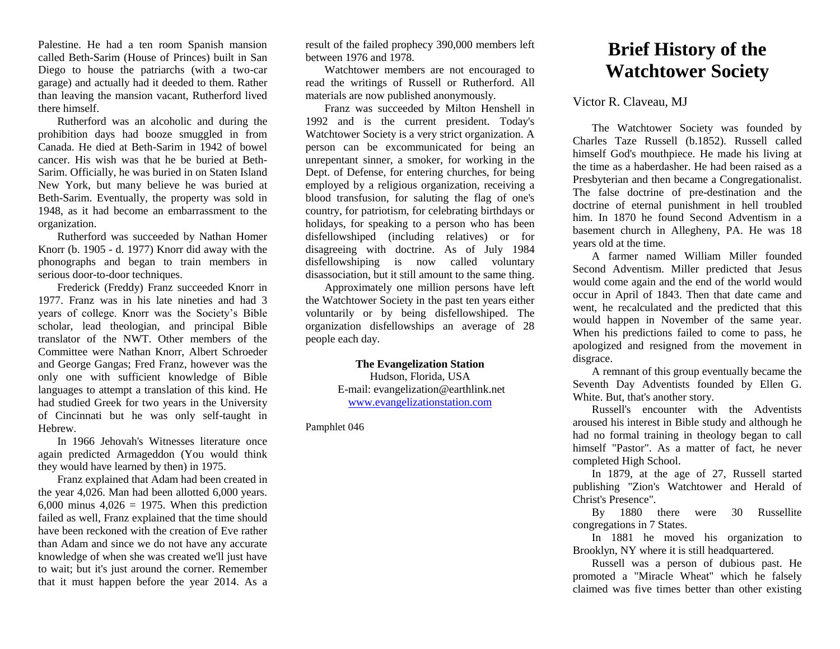Palestine. He had a ten room Spanish mansion called Beth-Sarim (House of Princes) built in San Diego to house the patriarchs (with a two-car garage) and actually had it deeded to them. Rather than leaving the mansion vacant, Rutherford lived there himself.

Rutherford was an alcoholic and during the prohibition days had booze smuggled in from Canada. He died at Beth-Sarim in 1942 of bowel cancer. His wish was that he be buried at Beth-Sarim. Officially, he was buried in on Staten Island New York, but many believe he was buried at Beth-Sarim. Eventually, the property was sold in 1948, as it had become an embarrassment to the organization.

Rutherford was succeeded by Nathan Homer Knorr (b. 1905 - d. 1977) Knorr did away with the phonographs and began to train members in serious door-to-door techniques.

Frederick (Freddy) Franz succeeded Knorr in 1977. Franz was in his late nineties and had 3 years of college. Knorr was the Society's Bible scholar, lead theologian, and principal Bible translator of the NWT. Other members of the Committee were Nathan Knorr, Albert Schroeder and George Gangas; Fred Franz, however was the only one with sufficient knowledge of Bible languages to attempt a translation of this kind. He had studied Greek for two years in the University of Cincinnati but he was only self-taught in Hebrew.

In 1966 Jehovah's Witnesses literature once again predicted Armageddon (You would think they would have learned by then) in 1975.

Franz explained that Adam had been created in the year 4,026. Man had been allotted 6,000 years. 6,000 minus  $4,026 = 1975$ . When this prediction failed as well, Franz explained that the time should have been reckoned with the creation of Eve rather than Adam and since we do not have any accurate knowledge of when she was created we'll just have to wait; but it's just around the corner. Remember that it must happen before the year 2014. As a

result of the failed prophecy 390,000 members left between 1976 and 1978.

Watchtower members are not encouraged to read the writings of Russell or Rutherford. All materials are now published anonymously.

Franz was succeeded by Milton Henshell in 1992 and is the current president. Today's Watchtower Society is a very strict organization. A person can be excommunicated for being an unrepentant sinner, a smoker, for working in the Dept. of Defense, for entering churches, for being employed by a religious organization, receiving a blood transfusion, for saluting the flag of one's country, for patriotism, for celebrating birthdays or holidays, for speaking to a person who has been disfellowshiped (including relatives) or for disagreeing with doctrine. As of July 1984 disfellowshiping is now called voluntary disassociation, but it still amount to the same thing.

Approximately one million persons have left the Watchtower Society in the past ten years either voluntarily or by being disfellowshiped. The organization disfellowships an average of 28 people each day.

> **The Evangelization Station** Hudson, Florida, USA E-mail: evangelization@earthlink.net [www.evangelizationstation.com](http://www.pjpiisoe.org/)

Pamphlet 046

## **Brief History of the Watchtower Society**

Victor R. Claveau, MJ

The Watchtower Society was founded by Charles Taze Russell (b.1852). Russell called himself God's mouthpiece. He made his living at the time as a haberdasher. He had been raised as a Presbyterian and then became a Congregationalist. The false doctrine of pre-destination and the doctrine of eternal punishment in hell troubled him. In 1870 he found Second Adventism in a basement church in Allegheny, PA. He was 18 years old at the time.

A farmer named William Miller founded Second Adventism. Miller predicted that Jesus would come again and the end of the world would occur in April of 1843. Then that date came and went, he recalculated and the predicted that this would happen in November of the same year. When his predictions failed to come to pass, he apologized and resigned from the movement in disgrace.

A remnant of this group eventually became the Seventh Day Adventists founded by Ellen G. White. But, that's another story.

Russell's encounter with the Adventists aroused his interest in Bible study and although he had no formal training in theology began to call himself "Pastor". As a matter of fact, he never completed High School.

In 1879, at the age of 27, Russell started publishing "Zion's Watchtower and Herald of Christ's Presence".

By 1880 there were 30 Russellite congregations in 7 States.

In 1881 he moved his organization to Brooklyn, NY where it is still headquartered.

Russell was a person of dubious past. He promoted a "Miracle Wheat" which he falsely claimed was five times better than other existing